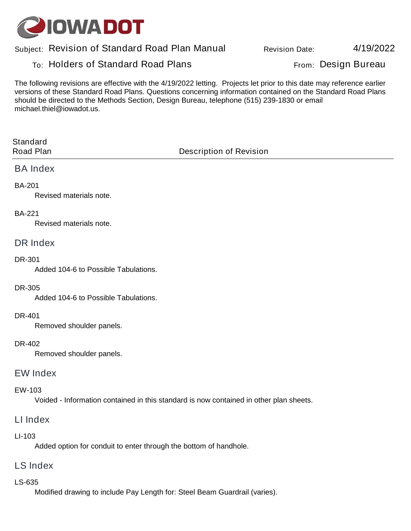

# **Subject: Revision Date: Revision of Standard Road Plan Manual**

# **To: From: Holders of Standard Road Plans Design Bureau**

**4/19/2022**

**The following revisions are effective with the 4/19/2022 letting. Projects let prior to this date may reference earlier versions of these Standard Road Plans. Questions concerning information contained on the Standard Road Plans should be directed to the Methods Section, Design Bureau, telephone (515) 239-1830 or email michael.thiel@iowadot.us.**

| <b>Standard</b><br><b>Road Plan</b>                                                                     | <b>Description of Revision</b> |
|---------------------------------------------------------------------------------------------------------|--------------------------------|
| <b>BA Index</b>                                                                                         |                                |
| <b>BA-201</b><br><b>Revised materials note.</b>                                                         |                                |
| <b>BA-221</b><br><b>Revised materials note.</b>                                                         |                                |
| <b>DR Index</b>                                                                                         |                                |
| <b>DR-301</b><br>Added 104-6 to Possible Tabulations.                                                   |                                |
| <b>DR-305</b><br>Added 104-6 to Possible Tabulations.                                                   |                                |
| <b>DR-401</b><br>Removed shoulder panels.                                                               |                                |
| <b>DR-402</b><br>Removed shoulder panels.                                                               |                                |
| <b>EW Index</b>                                                                                         |                                |
| <b>EW-103</b><br>Voided - Information contained in this standard is now contained in other plan sheets. |                                |

# **LI Index**

#### **LI-103**

**Added option for conduit to enter through the bottom of handhole.** 

#### **LS Index**

#### **LS-635**

**Modified drawing to include Pay Length for: Steel Beam Guardrail (varies).**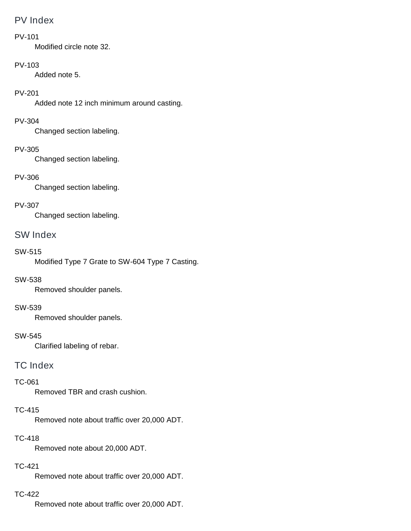# **PV Index**

#### **PV-101**

**Modified circle note 32.** 

#### **PV-103**

**Added note 5.** 

### **PV-201**

**Added note 12 inch minimum around casting.** 

#### **PV-304**

**Changed section labeling.** 

#### **PV-305**

**Changed section labeling.** 

### **PV-306**

**Changed section labeling.** 

### **PV-307**

**Changed section labeling.** 

# **SW Index**

#### **SW-515**

**Modified Type 7 Grate to SW-604 Type 7 Casting.** 

#### **SW-538**

**Removed shoulder panels.** 

#### **SW-539**

**Removed shoulder panels.** 

#### **SW-545**

**Clarified labeling of rebar.** 

## **TC Index**

#### **TC-061**

**Removed TBR and crash cushion.** 

### **TC-415**

**Removed note about traffic over 20,000 ADT.** 

## **TC-418**

**Removed note about 20,000 ADT.** 

### **TC-421**

**Removed note about traffic over 20,000 ADT.** 

#### **TC-422**

**Removed note about traffic over 20,000 ADT.**